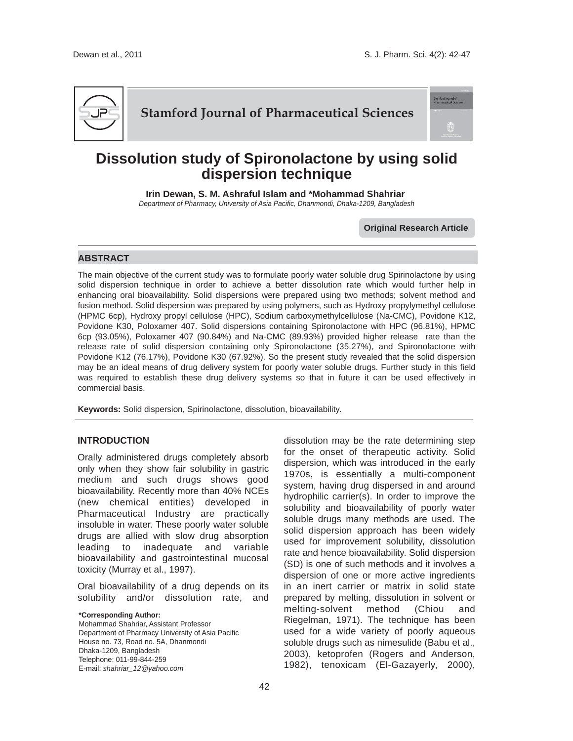

# **Stamford Journal of Pharmaceutical Sciences**

# **Dissolution study of Spironolactone by using solid dispersion technique**

**Irin Dewan, S. M. Ashraful Islam and \*Mohammad Shahriar**  *Department of Pharmacy, University of Asia Pacific, Dhanmondi, Dhaka-1209, Bangladesh*

**Original Research Article**

# **ABSTRACT**

The main objective of the current study was to formulate poorly water soluble drug Spirinolactone by using solid dispersion technique in order to achieve a better dissolution rate which would further help in enhancing oral bioavailability. Solid dispersions were prepared using two methods; solvent method and fusion method. Solid dispersion was prepared by using polymers, such as Hydroxy propylymethyl cellulose (HPMC 6cp), Hydroxy propyl cellulose (HPC), Sodium carboxymethylcellulose (Na-CMC), Povidone K12, Povidone K30, Poloxamer 407. Solid dispersions containing Spironolactone with HPC (96.81%), HPMC 6cp (93.05%), Poloxamer 407 (90.84%) and Na-CMC (89.93%) provided higher release rate than the release rate of solid dispersion containing only Spironolactone (35.27%), and Spironolactone with Povidone K12 (76.17%), Povidone K30 (67.92%). So the present study revealed that the solid dispersion may be an ideal means of drug delivery system for poorly water soluble drugs. Further study in this field was required to establish these drug delivery systems so that in future it can be used effectively in commercial basis.

**Keywords:** Solid dispersion, Spirinolactone, dissolution, bioavailability.

# **INTRODUCTION**

Orally administered drugs completely absorb only when they show fair solubility in gastric medium and such drugs shows good bioavailability. Recently more than 40% NCEs (new chemical entities) developed in Pharmaceutical Industry are practically insoluble in water. These poorly water soluble drugs are allied with slow drug absorption leading to inadequate and variable bioavailability and gastrointestinal mucosal toxicity (Murray et al., 1997).

Oral bioavailability of a drug depends on its solubility and/or dissolution rate, and

**\*Corresponding Author:** 

Mohammad Shahriar, Assistant Professor Department of Pharmacy University of Asia Pacific House no. 73, Road no. 5A, Dhanmondi Dhaka-1209, Bangladesh Telephone: 011-99-844-259 E-mail: *shahriar\_12@yahoo.com*

dissolution may be the rate determining step for the onset of therapeutic activity. Solid dispersion, which was introduced in the early 1970s, is essentially a multi-component system, having drug dispersed in and around hydrophilic carrier(s). In order to improve the solubility and bioavailability of poorly water soluble drugs many methods are used. The solid dispersion approach has been widely used for improvement solubility, dissolution rate and hence bioavailability. Solid dispersion (SD) is one of such methods and it involves a dispersion of one or more active ingredients in an inert carrier or matrix in solid state prepared by melting, dissolution in solvent or melting-solvent method (Chiou and Riegelman, 1971). The technique has been used for a wide variety of poorly aqueous soluble drugs such as nimesulide (Babu et al., 2003), ketoprofen (Rogers and Anderson, 1982), tenoxicam (El-Gazayerly, 2000),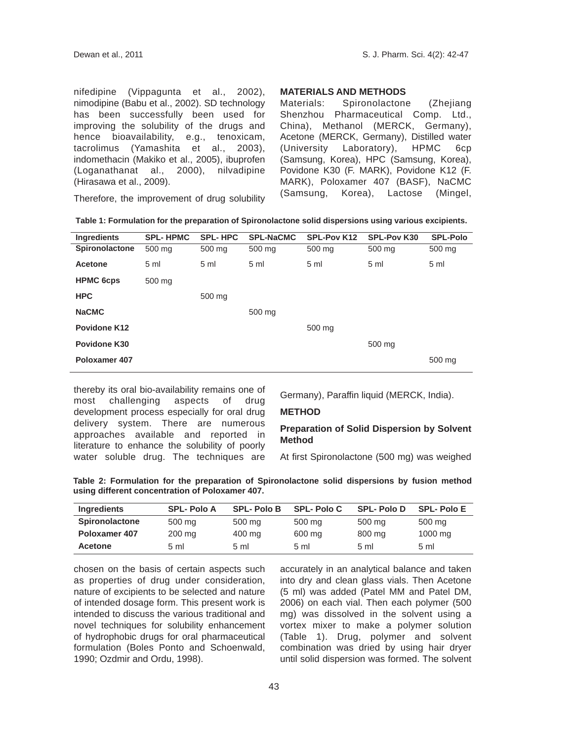nifedipine (Vippagunta et al., 2002), nimodipine (Babu et al., 2002). SD technology has been successfully been used for improving the solubility of the drugs and hence bioavailability, e.g., tenoxicam, tacrolimus (Yamashita et al., 2003), indomethacin (Makiko et al., 2005), ibuprofen (Loganathanat al., 2000), nilvadipine (Hirasawa et al., 2009).

# **MATERIALS AND METHODS**

Materials: Spironolactone (Zhejiang Shenzhou Pharmaceutical Comp. Ltd., China), Methanol (MERCK, Germany), Acetone (MERCK, Germany), Distilled water (University Laboratory), HPMC 6cp (Samsung, Korea), HPC (Samsung, Korea), Povidone K30 (F. MARK), Povidone K12 (F. MARK), Poloxamer 407 (BASF), NaCMC (Samsung, Korea), Lactose (Mingel,

Therefore, the improvement of drug solubility

| Ingredients      | <b>SPL-HPMC</b> | <b>SPL-HPC</b> | <b>SPL-NaCMC</b> | SPL-Pov K12    | SPL-Pov K30    | <b>SPL-Polo</b> |
|------------------|-----------------|----------------|------------------|----------------|----------------|-----------------|
| Spironolactone   | 500 mg          | 500 mg         | 500 mg           | 500 mg         | 500 mg         | 500 mg          |
| Acetone          | 5 <sub>m</sub>  | 5 <sub>m</sub> | 5 <sub>m</sub>   | 5 <sub>m</sub> | 5 <sub>m</sub> | 5 <sub>m</sub>  |
| <b>HPMC 6cps</b> | 500 mg          |                |                  |                |                |                 |
| <b>HPC</b>       |                 | 500 mg         |                  |                |                |                 |
| <b>NaCMC</b>     |                 |                | 500 mg           |                |                |                 |
| Povidone K12     |                 |                |                  | 500 mg         |                |                 |
| Povidone K30     |                 |                |                  |                | 500 mg         |                 |
| Poloxamer 407    |                 |                |                  |                |                | 500 mg          |
|                  |                 |                |                  |                |                |                 |

thereby its oral bio-availability remains one of most challenging aspects of drug development process especially for oral drug delivery system. There are numerous approaches available and reported in literature to enhance the solubility of poorly water soluble drug. The techniques are

Germany), Paraffin liquid (MERCK, India).

# **METHOD**

#### **Preparation of Solid Dispersion by Solvent Method**

At first Spironolactone (500 mg) was weighed

|  |  |                                                 | Table 2: Formulation for the preparation of Spironolactone solid dispersions by fusion method |  |  |  |
|--|--|-------------------------------------------------|-----------------------------------------------------------------------------------------------|--|--|--|
|  |  | using different concentration of Poloxamer 407. |                                                                                               |  |  |  |

| <b>Ingredients</b>    | <b>SPL-Polo A</b> | <b>SPL-PoloB</b> | <b>SPL-Polo C</b> | <b>SPL-PoloD</b> | <b>SPL-PoloE</b> |
|-----------------------|-------------------|------------------|-------------------|------------------|------------------|
| <b>Spironolactone</b> | 500 mg            | 500 mg           | 500 mg            | 500 mg           | 500 mg           |
| Poloxamer 407         | 200 mg            | 400 mg           | 600 mg            | 800 mg           | 1000 mg          |
| <b>Acetone</b>        | 5 ml              | 5 ml             | $5 \text{ ml}$    | 5 <sub>m</sub>   | 5 ml             |

chosen on the basis of certain aspects such as properties of drug under consideration, nature of excipients to be selected and nature of intended dosage form. This present work is intended to discuss the various traditional and novel techniques for solubility enhancement of hydrophobic drugs for oral pharmaceutical formulation (Boles Ponto and Schoenwald, 1990; Ozdmir and Ordu, 1998).

accurately in an analytical balance and taken into dry and clean glass vials. Then Acetone (5 ml) was added (Patel MM and Patel DM, 2006) on each vial. Then each polymer (500 mg) was dissolved in the solvent using a vortex mixer to make a polymer solution (Table 1). Drug, polymer and solvent combination was dried by using hair dryer until solid dispersion was formed. The solvent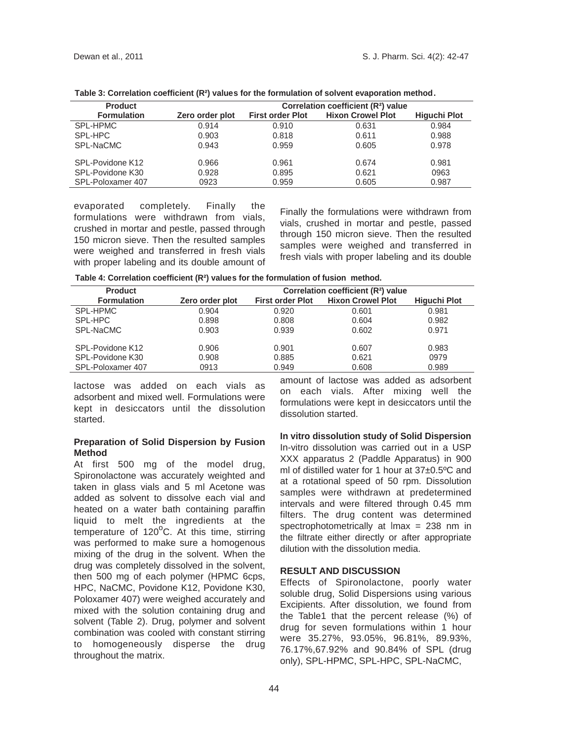| <b>Product</b>     |                 | Correlation coefficient (R <sup>2</sup> ) value |                          |                     |  |  |  |
|--------------------|-----------------|-------------------------------------------------|--------------------------|---------------------|--|--|--|
| <b>Formulation</b> | Zero order plot | <b>First order Plot</b>                         | <b>Hixon Crowel Plot</b> | <b>Higuchi Plot</b> |  |  |  |
| SPL-HPMC           | 0.914           | 0.910                                           | 0.631                    | 0.984               |  |  |  |
| SPL-HPC            | 0.903           | 0.818                                           | 0.611                    | 0.988               |  |  |  |
| SPL-NaCMC          | 0.943           | 0.959                                           | 0.605                    | 0.978               |  |  |  |
| SPL-Povidone K12   | 0.966           | 0.961                                           | 0.674                    | 0.981               |  |  |  |
| SPL-Povidone K30   | 0.928           | 0.895                                           | 0.621                    | 0963                |  |  |  |
| SPL-Poloxamer 407  | 0923            | 0.959                                           | 0.605                    | 0.987               |  |  |  |

**Table 3: Correlation coefficient (R²) values for the formulation of solvent evaporation method.** 

evaporated completely. Finally the formulations were withdrawn from vials, crushed in mortar and pestle, passed through 150 micron sieve. Then the resulted samples were weighed and transferred in fresh vials with proper labeling and its double amount of

Finally the formulations were withdrawn from vials, crushed in mortar and pestle, passed through 150 micron sieve. Then the resulted samples were weighed and transferred in fresh vials with proper labeling and its double

| Correlation coefficient (R <sup>2</sup> ) value |                         |                          |                     |  |  |
|-------------------------------------------------|-------------------------|--------------------------|---------------------|--|--|
| Zero order plot                                 | <b>First order Plot</b> | <b>Hixon Crowel Plot</b> | <b>Higuchi Plot</b> |  |  |
| 0.904                                           | 0.920                   | 0.601                    | 0.981               |  |  |
| 0.898                                           | 0.808                   | 0.604                    | 0.982               |  |  |
| 0.903                                           | 0.939                   | 0.602                    | 0.971               |  |  |
| 0.906                                           | 0.901                   | 0.607                    | 0.983               |  |  |
| 0.908                                           | 0.885                   | 0.621                    | 0979                |  |  |
| 0913                                            | 0.949                   | 0.608                    | 0.989               |  |  |
|                                                 |                         |                          |                     |  |  |

lactose was added on each vials as adsorbent and mixed well. Formulations were kept in desiccators until the dissolution started.

# **Preparation of Solid Dispersion by Fusion Method**

At first 500 mg of the model drug, Spironolactone was accurately weighted and taken in glass vials and 5 ml Acetone was added as solvent to dissolve each vial and heated on a water bath containing paraffin liquid to melt the ingredients at the  $t$ emperature of 120 $\mathrm{^oC}$ . At this time, stirring was performed to make sure a homogenous mixing of the drug in the solvent. When the drug was completely dissolved in the solvent, then 500 mg of each polymer (HPMC 6cps, HPC, NaCMC, Povidone K12, Povidone K30, Poloxamer 407) were weighed accurately and mixed with the solution containing drug and solvent (Table 2). Drug, polymer and solvent combination was cooled with constant stirring to homogeneously disperse the drug throughout the matrix.

amount of lactose was added as adsorbent on each vials. After mixing well the formulations were kept in desiccators until the dissolution started.

**In vitro dissolution study of Solid Dispersion** In-vitro dissolution was carried out in a USP XXX apparatus 2 (Paddle Apparatus) in 900 ml of distilled water for 1 hour at 37±0.5ºC and at a rotational speed of 50 rpm. Dissolution samples were withdrawn at predetermined intervals and were filtered through 0.45 m filters. The drug content was determined spectrophotometrically at max = 238 nm in the filtrate either directly or after appropriate dilution with the dissolution media.

# **RESULT AND DISCUSSION**

Effects of Spironolactone, poorly water soluble drug, Solid Dispersions using various Excipients. After dissolution, we found from the Table1 that the percent release (%) of drug for seven formulations within 1 hour were 35.27%, 93.05%, 96.81%, 89.93%, 76.17%,67.92% and 90.84% of SPL (drug only), SPL-HPMC, SPL-HPC, SPL-NaCMC,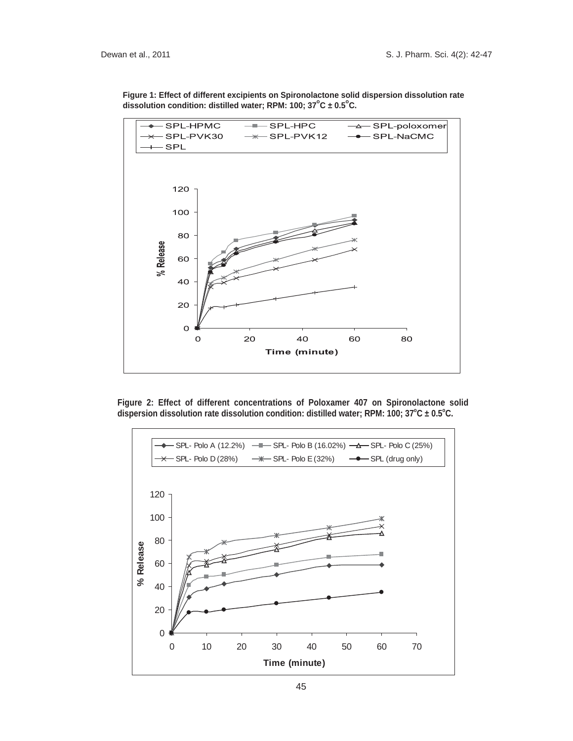

**Figure 1: Effect of different excipients on Spironolactone solid dispersion dissolution rate** dissolution condition: distilled water; RPM: 100; 37<sup>°</sup>C ± 0.5<sup>°</sup>C.

**Figure 2: Effect of different concentrations of Poloxamer 407 on Spironolactone solid**  dispersion dissolution rate dissolution condition: distilled water; RPM: 100; 37°C ± 0.5°C.

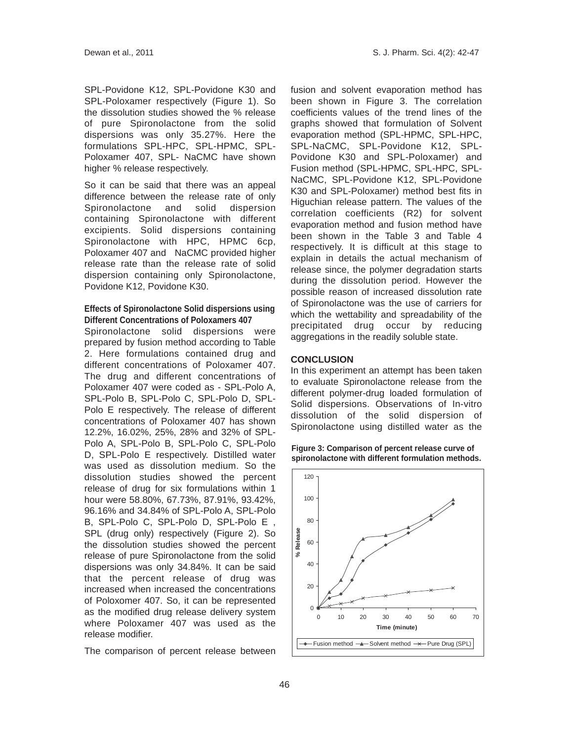SPL-Povidone K12, SPL-Povidone K30 and SPL-Poloxamer respectively (Figure 1). So the dissolution studies showed the % release of pure Spironolactone from the solid dispersions was only 35.27%. Here the formulations SPL-HPC, SPL-HPMC, SPL-Poloxamer 407, SPL- NaCMC have shown higher % release respectively.

So it can be said that there was an appeal difference between the release rate of only Spironolactone and solid dispersion containing Spironolactone with different excipients. Solid dispersions containing Spironolactone with HPC, HPMC 6cp, Poloxamer 407 and NaCMC provided higher release rate than the release rate of solid dispersion containing only Spironolactone, Povidone K12, Povidone K30.

# **Effects of Spironolactone Solid dispersions using Different Concentrations of Poloxamers 407**

Spironolactone solid dispersions were prepared by fusion method according to Table 2. Here formulations contained drug and different concentrations of Poloxamer 407. The drug and different concentrations of Poloxamer 407 were coded as - SPL-Polo A, SPL-Polo B, SPL-Polo C, SPL-Polo D, SPL-Polo E respectively. The release of different concentrations of Poloxamer 407 has shown 12.2%, 16.02%, 25%, 28% and 32% of SPL-Polo A, SPL-Polo B, SPL-Polo C, SPL-Polo D, SPL-Polo E respectively. Distilled water was used as dissolution medium. So the dissolution studies showed the percent release of drug for six formulations within 1 hour were 58.80%, 67.73%, 87.91%, 93.42%, 96.16% and 34.84% of SPL-Polo A, SPL-Polo B, SPL-Polo C, SPL-Polo D, SPL-Polo E , SPL (drug only) respectively (Figure 2). So the dissolution studies showed the percent release of pure Spironolactone from the solid dispersions was only 34.84%. It can be said that the percent release of drug was increased when increased the concentrations of Poloxomer 407. So, it can be represented as the modified drug release delivery system where Poloxamer 407 was used as the release modifier.

The comparison of percent release between

fusion and solvent evaporation method has been shown in Figure 3. The correlation coefficients values of the trend lines of the graphs showed that formulation of Solvent evaporation method (SPL-HPMC, SPL-HPC, SPL-NaCMC, SPL-Povidone K12, SPL-Povidone K30 and SPL-Poloxamer) and Fusion method (SPL-HPMC, SPL-HPC, SPL-NaCMC, SPL-Povidone K12, SPL-Povidone K30 and SPL-Poloxamer) method best fits in Higuchian release pattern. The values of the correlation coefficients (R2) for solvent evaporation method and fusion method have been shown in the Table 3 and Table 4 respectively. It is difficult at this stage to explain in details the actual mechanism of release since, the polymer degradation starts during the dissolution period. However the possible reason of increased dissolution rate of Spironolactone was the use of carriers for which the wettability and spreadability of the precipitated drug occur by reducing aggregations in the readily soluble state.

## **CONCLUSION**

In this experiment an attempt has been taken to evaluate Spironolactone release from the different polymer-drug loaded formulation of Solid dispersions. Observations of In-vitro dissolution of the solid dispersion of Spironolactone using distilled water as the

**Figure 3: Comparison of percent release curve of spironolactone with different formulation methods.**